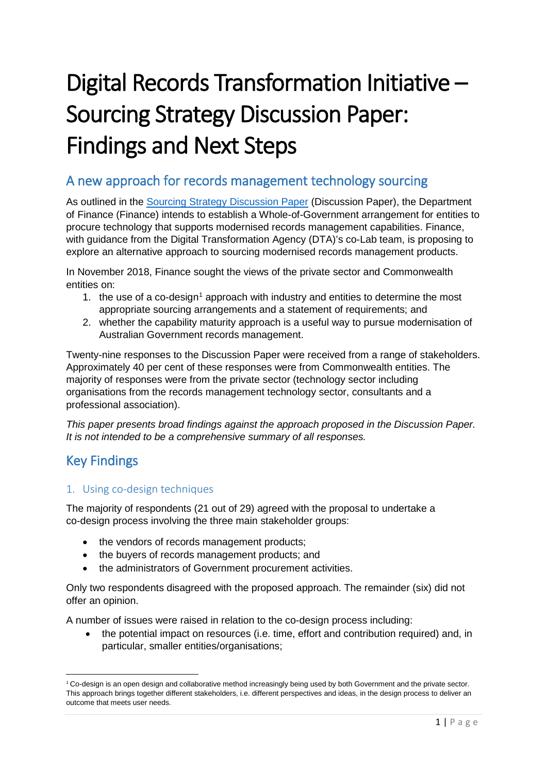# Digital Records Transformation Initiative – Sourcing Strategy Discussion Paper: Findings and Next Steps

## A new approach for records management technology sourcing

As outlined in the [Sourcing Strategy Discussion Paper](https://www.finance.gov.au/publications-reports/digital-records-transformation-initiative/) (Discussion Paper), the Department of Finance (Finance) intends to establish a Whole-of-Government arrangement for entities to procure technology that supports modernised records management capabilities. Finance, with guidance from the Digital Transformation Agency (DTA)'s co-Lab team, is proposing to explore an alternative approach to sourcing modernised records management products.

In November 2018, Finance sought the views of the private sector and Commonwealth entities on:

- [1](#page-0-0). the use of a co-design<sup>1</sup> approach with industry and entities to determine the most appropriate sourcing arrangements and a statement of requirements; and
- 2. whether the capability maturity approach is a useful way to pursue modernisation of Australian Government records management.

Twenty-nine responses to the Discussion Paper were received from a range of stakeholders. Approximately 40 per cent of these responses were from Commonwealth entities. The majority of responses were from the private sector (technology sector including organisations from the records management technology sector, consultants and a professional association).

*This paper presents broad findings against the approach proposed in the Discussion Paper. It is not intended to be a comprehensive summary of all responses.*

## Key Findings

## 1. Using co-design techniques

The majority of respondents (21 out of 29) agreed with the proposal to undertake a co-design process involving the three main stakeholder groups:

- the vendors of records management products;
- the buyers of records management products; and
- the administrators of Government procurement activities.

Only two respondents disagreed with the proposed approach. The remainder (six) did not offer an opinion.

A number of issues were raised in relation to the co-design process including:

• the potential impact on resources (i.e. time, effort and contribution required) and, in particular, smaller entities/organisations;

<span id="page-0-0"></span><sup>&</sup>lt;sup>1</sup> Co-design is an open design and collaborative method increasingly being used by both Government and the private sector. This approach brings together different stakeholders, i.e. different perspectives and ideas, in the design process to deliver an outcome that meets user needs.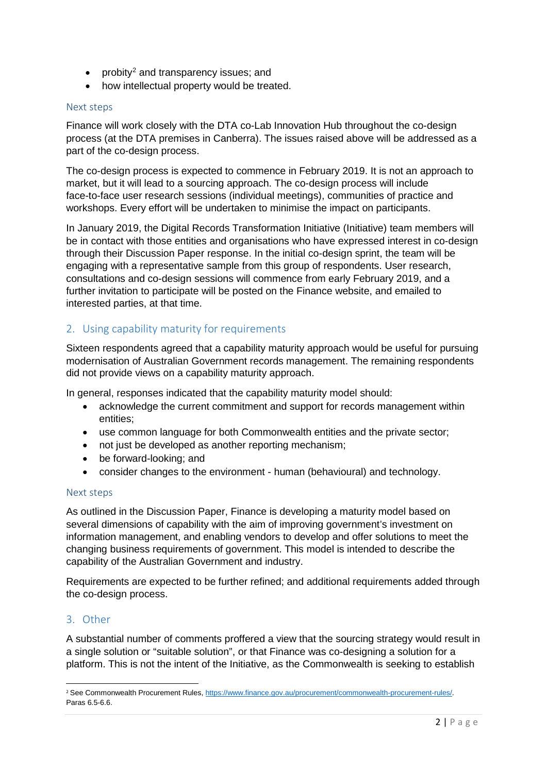- probity<sup>2</sup> and transparency issues; and
- how intellectual property would be treated.

#### Next steps

Finance will work closely with the DTA co-Lab Innovation Hub throughout the co-design process (at the DTA premises in Canberra). The issues raised above will be addressed as a part of the co-design process.

The co-design process is expected to commence in February 2019. It is not an approach to market, but it will lead to a sourcing approach. The co-design process will include face-to-face user research sessions (individual meetings), communities of practice and workshops. Every effort will be undertaken to minimise the impact on participants.

In January 2019, the Digital Records Transformation Initiative (Initiative) team members will be in contact with those entities and organisations who have expressed interest in co-design through their Discussion Paper response. In the initial co-design sprint, the team will be engaging with a representative sample from this group of respondents. User research, consultations and co-design sessions will commence from early February 2019, and a further invitation to participate will be posted on the Finance website, and emailed to interested parties, at that time.

### 2. Using capability maturity for requirements

Sixteen respondents agreed that a capability maturity approach would be useful for pursuing modernisation of Australian Government records management. The remaining respondents did not provide views on a capability maturity approach.

In general, responses indicated that the capability maturity model should:

- acknowledge the current commitment and support for records management within entities;
- use common language for both Commonwealth entities and the private sector;
- not just be developed as another reporting mechanism;
- be forward-looking; and
- consider changes to the environment human (behavioural) and technology.

#### Next steps

As outlined in the Discussion Paper, Finance is developing a maturity model based on several dimensions of capability with the aim of improving government's investment on information management, and enabling vendors to develop and offer solutions to meet the changing business requirements of government. This model is intended to describe the capability of the Australian Government and industry.

Requirements are expected to be further refined; and additional requirements added through the co-design process.

#### 3. Other

A substantial number of comments proffered a view that the sourcing strategy would result in a single solution or "suitable solution", or that Finance was co-designing a solution for a platform. This is not the intent of the Initiative, as the Commonwealth is seeking to establish

<span id="page-1-0"></span> <sup>2</sup> See Commonwealth Procurement Rules[, https://www.finance.gov.au/procurement/commonwealth-procurement-rules/.](https://www.finance.gov.au/procurement/commonwealth-procurement-rules/) Paras 6.5-6.6.